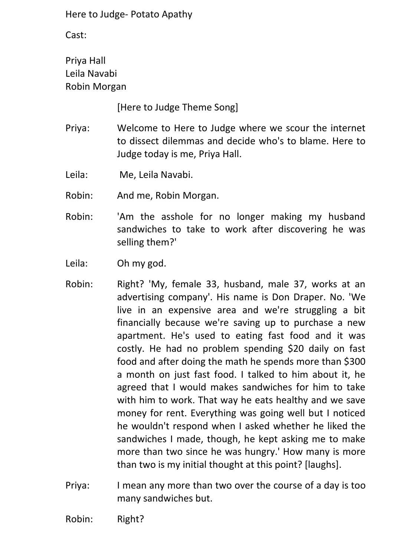Cast:

Priya Hall Leila Navabi Robin Morgan

[Here to Judge Theme Song]

- Priya: Welcome to Here to Judge where we scour the internet to dissect dilemmas and decide who's to blame. Here to Judge today is me, Priya Hall.
- Leila: Me, Leila Navabi.
- Robin: And me, Robin Morgan.
- Robin: 'Am the asshole for no longer making my husband sandwiches to take to work after discovering he was selling them?'
- Leila: Oh my god.
- Robin: Right? 'My, female 33, husband, male 37, works at an advertising company'. His name is Don Draper. No. 'We live in an expensive area and we're struggling a bit financially because we're saving up to purchase a new apartment. He's used to eating fast food and it was costly. He had no problem spending \$20 daily on fast food and after doing the math he spends more than \$300 a month on just fast food. I talked to him about it, he agreed that I would makes sandwiches for him to take with him to work. That way he eats healthy and we save money for rent. Everything was going well but I noticed he wouldn't respond when I asked whether he liked the sandwiches I made, though, he kept asking me to make more than two since he was hungry.' How many is more than two is my initial thought at this point? [laughs].
- Priya: I mean any more than two over the course of a day is too many sandwiches but.
- Robin: Right?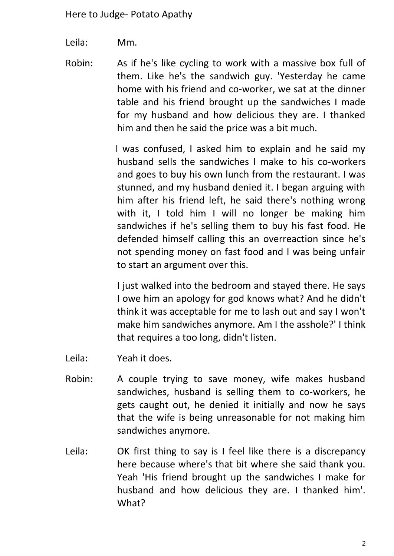Leila: Mm.

Robin: As if he's like cycling to work with a massive box full of them. Like he's the sandwich guy. 'Yesterday he came home with his friend and co-worker, we sat at the dinner table and his friend brought up the sandwiches I made for my husband and how delicious they are. I thanked him and then he said the price was a bit much.

> I was confused, I asked him to explain and he said my husband sells the sandwiches I make to his co-workers and goes to buy his own lunch from the restaurant. I was stunned, and my husband denied it. I began arguing with him after his friend left, he said there's nothing wrong with it, I told him I will no longer be making him sandwiches if he's selling them to buy his fast food. He defended himself calling this an overreaction since he's not spending money on fast food and I was being unfair to start an argument over this.

> I just walked into the bedroom and stayed there. He says I owe him an apology for god knows what? And he didn't think it was acceptable for me to lash out and say I won't make him sandwiches anymore. Am I the asshole?' I think that requires a too long, didn't listen.

- Leila: Yeah it does.
- Robin: A couple trying to save money, wife makes husband sandwiches, husband is selling them to co-workers, he gets caught out, he denied it initially and now he says that the wife is being unreasonable for not making him sandwiches anymore.
- Leila: OK first thing to say is I feel like there is a discrepancy here because where's that bit where she said thank you. Yeah 'His friend brought up the sandwiches I make for husband and how delicious they are. I thanked him'. What?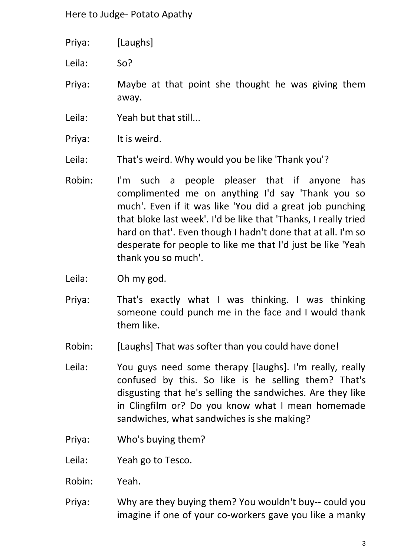| Priya: | [Laughs] |
|--------|----------|
|--------|----------|

Leila: So?

Priya: Maybe at that point she thought he was giving them away.

- Leila: Yeah but that still...
- Priya: It is weird.
- Leila: That's weird. Why would you be like 'Thank you'?
- Robin: I'm such a people pleaser that if anyone has complimented me on anything I'd say 'Thank you so much'. Even if it was like 'You did a great job punching that bloke last week'. I'd be like that 'Thanks, I really tried hard on that'. Even though I hadn't done that at all. I'm so desperate for people to like me that I'd just be like 'Yeah thank you so much'.
- Leila: Oh my god.
- Priya: That's exactly what I was thinking. I was thinking someone could punch me in the face and I would thank them like.
- Robin: [Laughs] That was softer than you could have done!
- Leila: You guys need some therapy [laughs]. I'm really, really confused by this. So like is he selling them? That's disgusting that he's selling the sandwiches. Are they like in Clingfilm or? Do you know what I mean homemade sandwiches, what sandwiches is she making?
- Priya: Who's buying them?
- Leila: Yeah go to Tesco.
- Robin: Yeah.
- Priya: Why are they buying them? You wouldn't buy-- could you imagine if one of your co-workers gave you like a manky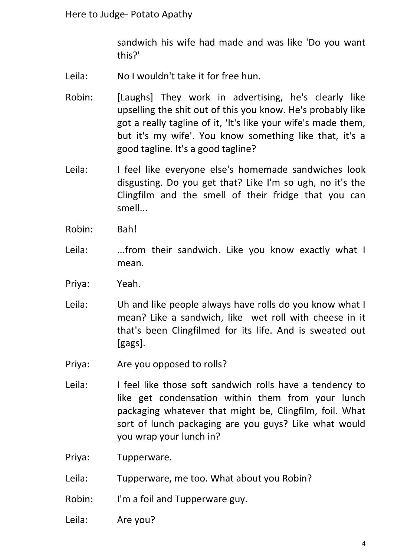sandwich his wife had made and was like 'Do you want this?'

- Leila: No I wouldn't take it for free hun.
- Robin: [Laughs] They work in advertising, he's clearly like upselling the shit out of this you know. He's probably like got a really tagline of it, 'It's like your wife's made them, but it's my wife'. You know something like that, it's a good tagline. It's a good tagline?
- Leila: I feel like everyone else's homemade sandwiches look disgusting. Do you get that? Like I'm so ugh, no it's the Clingfilm and the smell of their fridge that you can smell...
- Robin: Bah!
- Leila: ...from their sandwich. Like you know exactly what I mean.
- Priya: Yeah.
- Leila: Uh and like people always have rolls do you know what I mean? Like a sandwich, like wet roll with cheese in it that's been Clingfilmed for its life. And is sweated out [gags].
- Priya: Are you opposed to rolls?
- Leila: I feel like those soft sandwich rolls have a tendency to like get condensation within them from your lunch packaging whatever that might be, Clingfilm, foil. What sort of lunch packaging are you guys? Like what would you wrap your lunch in?
- Priya: Tupperware.
- Leila: Tupperware, me too. What about you Robin?
- Robin: I'm a foil and Tupperware guy.
- Leila: Are you?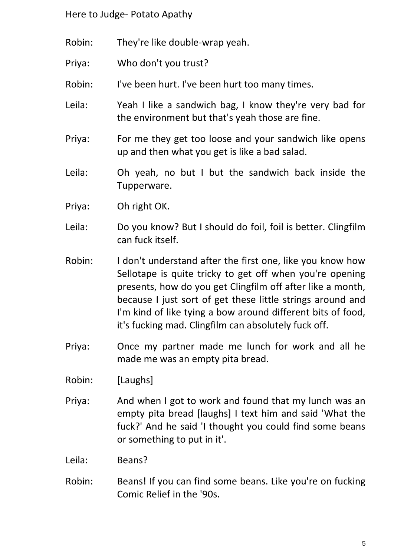- Robin: They're like double-wrap yeah.
- Priya: Who don't you trust?
- Robin: I've been hurt. I've been hurt too many times.
- Leila: Yeah I like a sandwich bag, I know they're very bad for the environment but that's yeah those are fine.
- Priya: For me they get too loose and your sandwich like opens up and then what you get is like a bad salad.
- Leila: Oh yeah, no but I but the sandwich back inside the Tupperware.
- Priya: Oh right OK.
- Leila: Do you know? But I should do foil, foil is better. Clingfilm can fuck itself.
- Robin: I don't understand after the first one, like you know how Sellotape is quite tricky to get off when you're opening presents, how do you get Clingfilm off after like a month, because I just sort of get these little strings around and I'm kind of like tying a bow around different bits of food, it's fucking mad. Clingfilm can absolutely fuck off.
- Priya: Once my partner made me lunch for work and all he made me was an empty pita bread.
- Robin: [Laughs]
- Priya: And when I got to work and found that my lunch was an empty pita bread [laughs] I text him and said 'What the fuck?' And he said 'I thought you could find some beans or something to put in it'.
- Leila: Beans?
- Robin: Beans! If you can find some beans. Like you're on fucking Comic Relief in the '90s.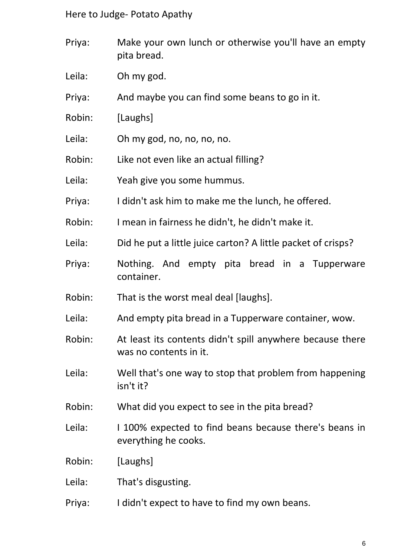- Priya: Make your own lunch or otherwise you'll have an empty pita bread.
- Leila: Oh my god.
- Priya: And maybe you can find some beans to go in it.
- Robin: [Laughs]
- Leila: Oh my god, no, no, no, no.
- Robin: Like not even like an actual filling?
- Leila: Yeah give you some hummus.
- Priya: I didn't ask him to make me the lunch, he offered.
- Robin: I mean in fairness he didn't, he didn't make it.
- Leila: Did he put a little juice carton? A little packet of crisps?
- Priya: Nothing. And empty pita bread in a Tupperware container.
- Robin: That is the worst meal deal [laughs].
- Leila: And empty pita bread in a Tupperware container, wow.
- Robin: At least its contents didn't spill anywhere because there was no contents in it.
- Leila: Well that's one way to stop that problem from happening isn't it?
- Robin: What did you expect to see in the pita bread?
- Leila: I 100% expected to find beans because there's beans in everything he cooks.
- Robin: [Laughs]
- Leila: That's disgusting.
- Priya: I didn't expect to have to find my own beans.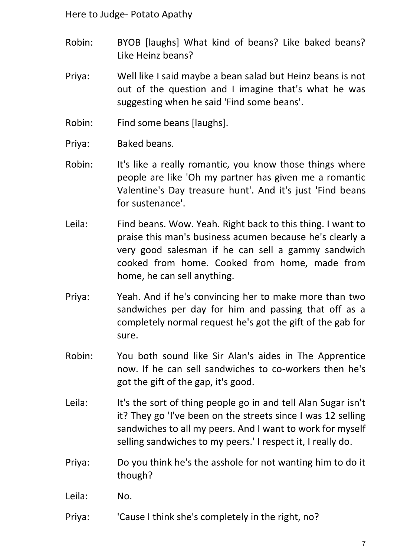- Robin: BYOB [laughs] What kind of beans? Like baked beans? Like Heinz beans?
- Priya: Well like I said maybe a bean salad but Heinz beans is not out of the question and I imagine that's what he was suggesting when he said 'Find some beans'.
- Robin: Find some beans [laughs].
- Priya: Baked beans.
- Robin: It's like a really romantic, you know those things where people are like 'Oh my partner has given me a romantic Valentine's Day treasure hunt'. And it's just 'Find beans for sustenance'.
- Leila: Find beans. Wow. Yeah. Right back to this thing. I want to praise this man's business acumen because he's clearly a very good salesman if he can sell a gammy sandwich cooked from home. Cooked from home, made from home, he can sell anything.
- Priya: Yeah. And if he's convincing her to make more than two sandwiches per day for him and passing that off as a completely normal request he's got the gift of the gab for sure.
- Robin: You both sound like Sir Alan's aides in The Apprentice now. If he can sell sandwiches to co-workers then he's got the gift of the gap, it's good.
- Leila: It's the sort of thing people go in and tell Alan Sugar isn't it? They go 'I've been on the streets since I was 12 selling sandwiches to all my peers. And I want to work for myself selling sandwiches to my peers.' I respect it, I really do.
- Priya: Do you think he's the asshole for not wanting him to do it though?
- Leila: No.
- Priya: 'Cause I think she's completely in the right, no?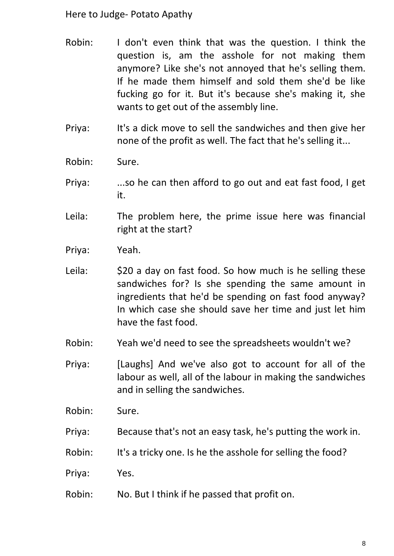- Robin: I don't even think that was the question. I think the question is, am the asshole for not making them anymore? Like she's not annoyed that he's selling them. If he made them himself and sold them she'd be like fucking go for it. But it's because she's making it, she wants to get out of the assembly line.
- Priya: It's a dick move to sell the sandwiches and then give her none of the profit as well. The fact that he's selling it...
- Robin: Sure.
- Priya: ...so he can then afford to go out and eat fast food, I get it.
- Leila: The problem here, the prime issue here was financial right at the start?
- Priya: Yeah.
- Leila:  $\frac{1}{20}$  S20 a day on fast food. So how much is he selling these sandwiches for? Is she spending the same amount in ingredients that he'd be spending on fast food anyway? In which case she should save her time and just let him have the fast food.
- Robin: Yeah we'd need to see the spreadsheets wouldn't we?
- Priya: [Laughs] And we've also got to account for all of the labour as well, all of the labour in making the sandwiches and in selling the sandwiches.
- Robin: Sure.
- Priya: Because that's not an easy task, he's putting the work in.
- Robin: It's a tricky one. Is he the asshole for selling the food?
- Priya: Yes.
- Robin: No. But I think if he passed that profit on.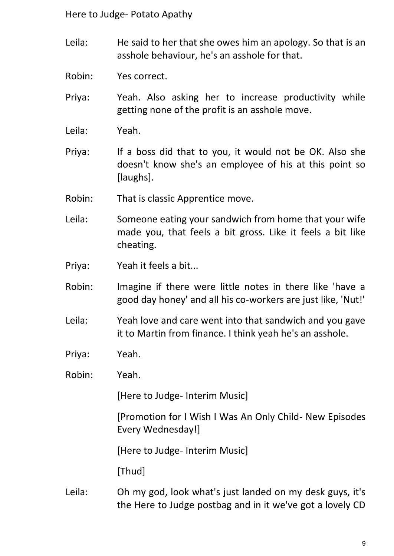- Leila: He said to her that she owes him an apology. So that is an asshole behaviour, he's an asshole for that.
- Robin: Yes correct.
- Priya: Yeah. Also asking her to increase productivity while getting none of the profit is an asshole move.
- Leila: Yeah.
- Priya: If a boss did that to you, it would not be OK. Also she doesn't know she's an employee of his at this point so [laughs].
- Robin: That is classic Apprentice move.
- Leila: Someone eating your sandwich from home that your wife made you, that feels a bit gross. Like it feels a bit like cheating.
- Priya: Yeah it feels a bit...
- Robin: Imagine if there were little notes in there like 'have a good day honey' and all his co-workers are just like, 'Nut!'
- Leila: Yeah love and care went into that sandwich and you gave it to Martin from finance. I think yeah he's an asshole.
- Priya: Yeah.
- Robin: Yeah.

[Here to Judge- Interim Music]

[Promotion for I Wish I Was An Only Child- New Episodes Every Wednesday!]

[Here to Judge- Interim Music]

[Thud]

Leila: Oh my god, look what's just landed on my desk guys, it's the Here to Judge postbag and in it we've got a lovely CD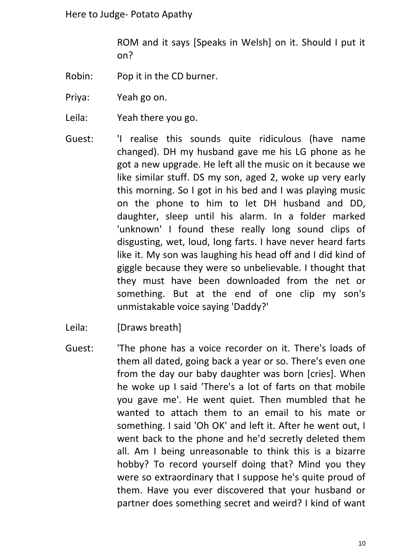ROM and it says [Speaks in Welsh] on it. Should I put it on?

- Robin: Pop it in the CD burner.
- Priya: Yeah go on.
- Leila: Yeah there you go.
- Guest: 'I realise this sounds quite ridiculous (have name changed). DH my husband gave me his LG phone as he got a new upgrade. He left all the music on it because we like similar stuff. DS my son, aged 2, woke up very early this morning. So I got in his bed and I was playing music on the phone to him to let DH husband and DD, daughter, sleep until his alarm. In a folder marked 'unknown' I found these really long sound clips of disgusting, wet, loud, long farts. I have never heard farts like it. My son was laughing his head off and I did kind of giggle because they were so unbelievable. I thought that they must have been downloaded from the net or something. But at the end of one clip my son's unmistakable voice saying 'Daddy?'
- Leila: [Draws breath]
- Guest: 'The phone has a voice recorder on it. There's loads of them all dated, going back a year or so. There's even one from the day our baby daughter was born [cries]. When he woke up I said 'There's a lot of farts on that mobile you gave me'. He went quiet. Then mumbled that he wanted to attach them to an email to his mate or something. I said 'Oh OK' and left it. After he went out, I went back to the phone and he'd secretly deleted them all. Am I being unreasonable to think this is a bizarre hobby? To record yourself doing that? Mind you they were so extraordinary that I suppose he's quite proud of them. Have you ever discovered that your husband or partner does something secret and weird? I kind of want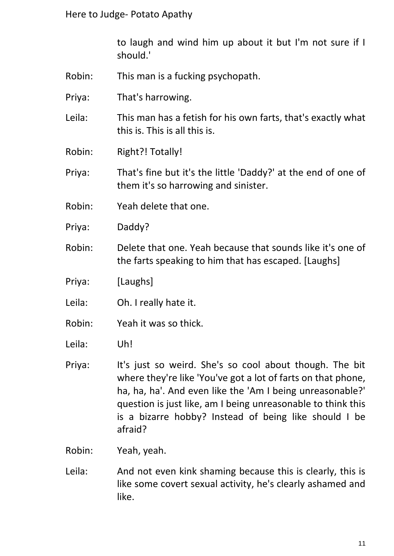to laugh and wind him up about it but I'm not sure if I should.'

- Robin: This man is a fucking psychopath.
- Priya: That's harrowing.

Leila: This man has a fetish for his own farts, that's exactly what this is. This is all this is.

Robin: Right?! Totally!

Priya: That's fine but it's the little 'Daddy?' at the end of one of them it's so harrowing and sinister.

- Robin: Yeah delete that one.
- Priya: Daddy?
- Robin: Delete that one. Yeah because that sounds like it's one of the farts speaking to him that has escaped. [Laughs]
- Priya: [Laughs]
- Leila: Oh. I really hate it.
- Robin: Yeah it was so thick.
- Leila: Uh!
- Priya: It's just so weird. She's so cool about though. The bit where they're like 'You've got a lot of farts on that phone, ha, ha, ha'. And even like the 'Am I being unreasonable?' question is just like, am I being unreasonable to think this is a bizarre hobby? Instead of being like should I be afraid?
- Robin: Yeah, yeah.
- Leila: And not even kink shaming because this is clearly, this is like some covert sexual activity, he's clearly ashamed and like.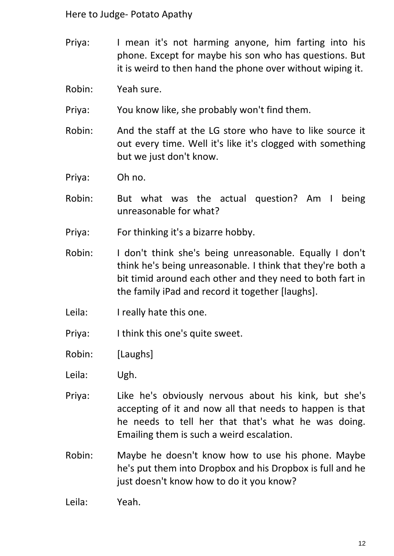- Priya: I mean it's not harming anyone, him farting into his phone. Except for maybe his son who has questions. But it is weird to then hand the phone over without wiping it.
- Robin: Yeah sure.
- Priya: You know like, she probably won't find them.
- Robin: And the staff at the LG store who have to like source it out every time. Well it's like it's clogged with something but we just don't know.
- Priya: Oh no.
- Robin: But what was the actual question? Am I being unreasonable for what?
- Priya: For thinking it's a bizarre hobby.
- Robin: I don't think she's being unreasonable. Equally I don't think he's being unreasonable. I think that they're both a bit timid around each other and they need to both fart in the family iPad and record it together [laughs].
- Leila: I really hate this one.
- Priya: I think this one's quite sweet.
- Robin: [Laughs]
- Leila: Ugh.
- Priya: Like he's obviously nervous about his kink, but she's accepting of it and now all that needs to happen is that he needs to tell her that that's what he was doing. Emailing them is such a weird escalation.
- Robin: Maybe he doesn't know how to use his phone. Maybe he's put them into Dropbox and his Dropbox is full and he just doesn't know how to do it you know?

Leila: Yeah.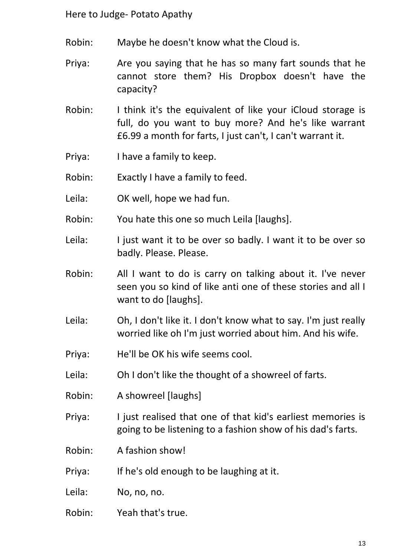- Robin: Maybe he doesn't know what the Cloud is.
- Priya: Are you saying that he has so many fart sounds that he cannot store them? His Dropbox doesn't have the capacity?
- Robin: I think it's the equivalent of like your iCloud storage is full, do you want to buy more? And he's like warrant £6.99 a month for farts, I just can't, I can't warrant it.
- Priya: I have a family to keep.
- Robin: Exactly I have a family to feed.
- Leila: OK well, hope we had fun.
- Robin: You hate this one so much Leila [laughs].
- Leila: I just want it to be over so badly. I want it to be over so badly. Please. Please.
- Robin: All I want to do is carry on talking about it. I've never seen you so kind of like anti one of these stories and all I want to do [laughs].
- Leila: Oh, I don't like it. I don't know what to say. I'm just really worried like oh I'm just worried about him. And his wife.
- Priya: He'll be OK his wife seems cool.
- Leila: Oh I don't like the thought of a showreel of farts.
- Robin: A showreel [laughs]
- Priya: I just realised that one of that kid's earliest memories is going to be listening to a fashion show of his dad's farts.
- Robin: A fashion show!
- Priya: If he's old enough to be laughing at it.
- Leila: No, no, no.
- Robin: Yeah that's true.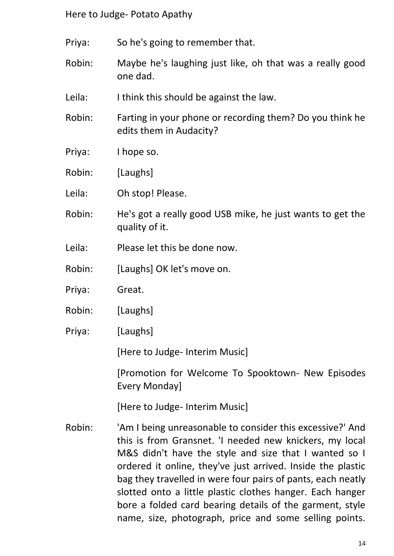- Priya: So he's going to remember that.
- Robin: Maybe he's laughing just like, oh that was a really good one dad.
- Leila: I think this should be against the law.
- Robin: Farting in your phone or recording them? Do you think he edits them in Audacity?
- Priya: I hope so.
- Robin: [Laughs]
- Leila: Oh stop! Please.
- Robin: He's got a really good USB mike, he just wants to get the quality of it.
- Leila: Please let this be done now.
- Robin: [Laughs] OK let's move on.
- Priya: Great.
- Robin: [Laughs]
- Priya: [Laughs]

[Here to Judge- Interim Music]

[Promotion for Welcome To Spooktown- New Episodes Every Monday]

[Here to Judge- Interim Music]

Robin: 'Am I being unreasonable to consider this excessive?' And this is from Gransnet. 'I needed new knickers, my local M&S didn't have the style and size that I wanted so I ordered it online, they've just arrived. Inside the plastic bag they travelled in were four pairs of pants, each neatly slotted onto a little plastic clothes hanger. Each hanger bore a folded card bearing details of the garment, style name, size, photograph, price and some selling points.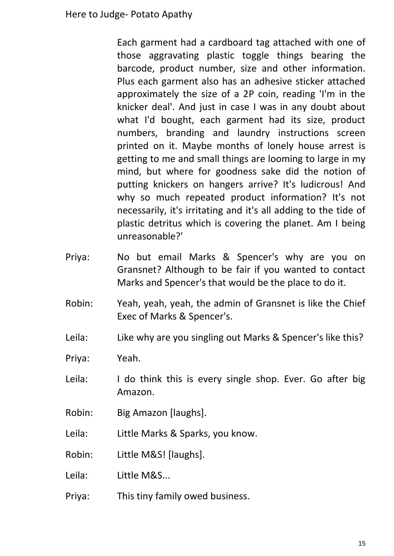Each garment had a cardboard tag attached with one of those aggravating plastic toggle things bearing the barcode, product number, size and other information. Plus each garment also has an adhesive sticker attached approximately the size of a 2P coin, reading 'I'm in the knicker deal'. And just in case I was in any doubt about what I'd bought, each garment had its size, product numbers, branding and laundry instructions screen printed on it. Maybe months of lonely house arrest is getting to me and small things are looming to large in my mind, but where for goodness sake did the notion of putting knickers on hangers arrive? It's ludicrous! And why so much repeated product information? It's not necessarily, it's irritating and it's all adding to the tide of plastic detritus which is covering the planet. Am I being unreasonable?'

- Priya: No but email Marks & Spencer's why are you on Gransnet? Although to be fair if you wanted to contact Marks and Spencer's that would be the place to do it.
- Robin: Yeah, yeah, yeah, the admin of Gransnet is like the Chief Exec of Marks & Spencer's.
- Leila: Like why are you singling out Marks & Spencer's like this?
- Priya: Yeah.
- Leila: I do think this is every single shop. Ever. Go after big Amazon.
- Robin: Big Amazon [laughs].
- Leila: Little Marks & Sparks, you know.
- Robin: Little M&S! [laughs].
- Leila: Little M&S...
- Priya: This tiny family owed business.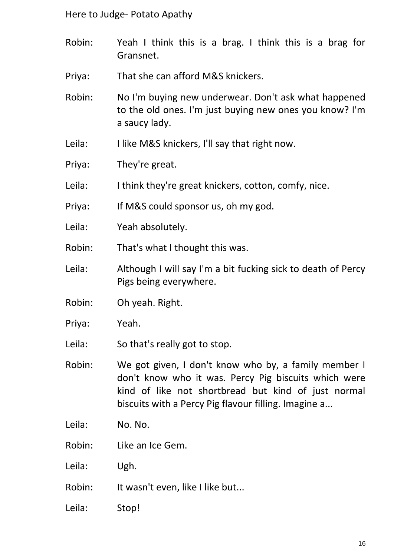- Robin: Yeah I think this is a brag. I think this is a brag for Gransnet.
- Priya: That she can afford M&S knickers.
- Robin: No I'm buying new underwear. Don't ask what happened to the old ones. I'm just buying new ones you know? I'm a saucy lady.
- Leila: I like M&S knickers, I'll say that right now.
- Priya: They're great.
- Leila: I think they're great knickers, cotton, comfy, nice.
- Priya: If M&S could sponsor us, oh my god.
- Leila: Yeah absolutely.
- Robin: That's what I thought this was.
- Leila: Although I will say I'm a bit fucking sick to death of Percy Pigs being everywhere.
- Robin: Oh yeah. Right.
- Priya: Yeah.
- Leila: So that's really got to stop.
- Robin: We got given, I don't know who by, a family member I don't know who it was. Percy Pig biscuits which were kind of like not shortbread but kind of just normal biscuits with a Percy Pig flavour filling. Imagine a...
- Leila: No. No.
- Robin: Like an Ice Gem.
- Leila: Ugh.
- Robin: It wasn't even, like I like but...
- Leila: Stop!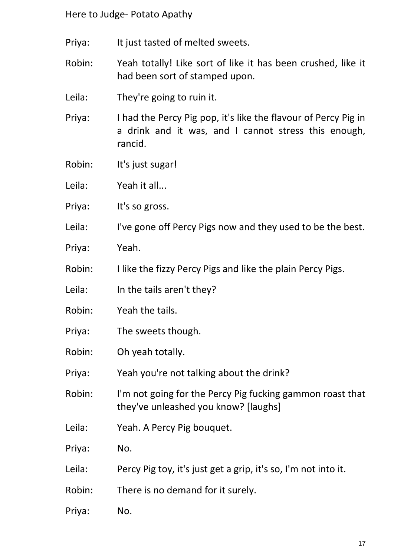- Priya: It just tasted of melted sweets.
- Robin: Yeah totally! Like sort of like it has been crushed, like it had been sort of stamped upon.
- Leila: They're going to ruin it.
- Priya: I had the Percy Pig pop, it's like the flavour of Percy Pig in a drink and it was, and I cannot stress this enough, rancid.
- Robin: It's just sugar!
- Leila: Yeah it all...
- Priya: It's so gross.
- Leila: I've gone off Percy Pigs now and they used to be the best.
- Priya: Yeah.
- Robin: I like the fizzy Percy Pigs and like the plain Percy Pigs.
- Leila: In the tails aren't they?
- Robin: Yeah the tails.
- Priya: The sweets though.
- Robin: Oh yeah totally.
- Priya: Yeah you're not talking about the drink?
- Robin: I'm not going for the Percy Pig fucking gammon roast that they've unleashed you know? [laughs]
- Leila: Yeah. A Percy Pig bouquet.
- Priya: No.
- Leila: Percy Pig toy, it's just get a grip, it's so, I'm not into it.
- Robin: There is no demand for it surely.
- Priya: No.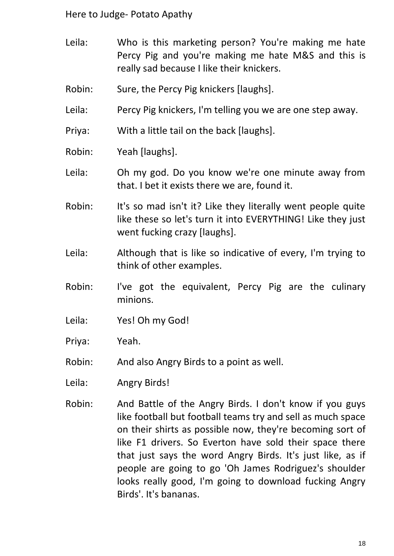- Leila: Who is this marketing person? You're making me hate Percy Pig and you're making me hate M&S and this is really sad because I like their knickers.
- Robin: Sure, the Percy Pig knickers [laughs].
- Leila: Percy Pig knickers, I'm telling you we are one step away.
- Priya: With a little tail on the back [laughs].
- Robin: Yeah [laughs].
- Leila: Oh my god. Do you know we're one minute away from that. I bet it exists there we are, found it.
- Robin: It's so mad isn't it? Like they literally went people quite like these so let's turn it into EVERYTHING! Like they just went fucking crazy [laughs].
- Leila: Although that is like so indicative of every, I'm trying to think of other examples.
- Robin: I've got the equivalent, Percy Pig are the culinary minions.
- Leila: Yes! Oh my God!
- Priya: Yeah.
- Robin: And also Angry Birds to a point as well.
- Leila: Angry Birds!
- Robin: And Battle of the Angry Birds. I don't know if you guys like football but football teams try and sell as much space on their shirts as possible now, they're becoming sort of like F1 drivers. So Everton have sold their space there that just says the word Angry Birds. It's just like, as if people are going to go 'Oh James Rodriguez's shoulder looks really good, I'm going to download fucking Angry Birds'. It's bananas.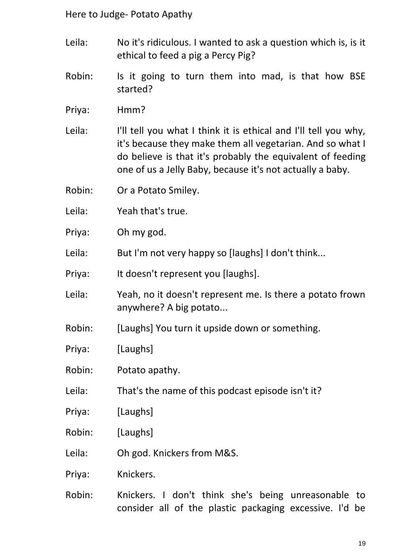- Leila: No it's ridiculous. I wanted to ask a question which is, is it ethical to feed a pig a Percy Pig?
- Robin: Is it going to turn them into mad, is that how BSE started?
- Priya: Hmm?
- Leila: I'll tell you what I think it is ethical and I'll tell you why, it's because they make them all vegetarian. And so what I do believe is that it's probably the equivalent of feeding one of us a Jelly Baby, because it's not actually a baby.
- Robin: Or a Potato Smiley.
- Leila: Yeah that's true.
- Priya: Oh my god.
- Leila: But I'm not very happy so [laughs] I don't think...
- Priya: It doesn't represent you [laughs].
- Leila: Yeah, no it doesn't represent me. Is there a potato frown anywhere? A big potato...
- Robin: [Laughs] You turn it upside down or something.
- Priya: [Laughs]
- Robin: Potato apathy.
- Leila: That's the name of this podcast episode isn't it?
- Priya: [Laughs]
- Robin: [Laughs]
- Leila: Oh god. Knickers from M&S.
- Priya: Knickers.
- Robin: Knickers. I don't think she's being unreasonable to consider all of the plastic packaging excessive. I'd be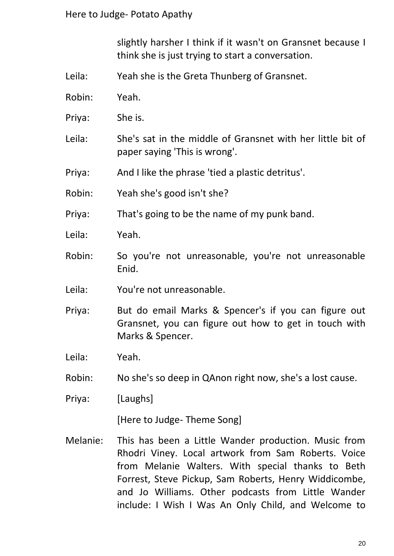slightly harsher I think if it wasn't on Gransnet because I think she is just trying to start a conversation.

- Leila: Yeah she is the Greta Thunberg of Gransnet.
- Robin: Yeah.
- Priya: She is.
- Leila: She's sat in the middle of Gransnet with her little bit of paper saying 'This is wrong'.
- Priya: And I like the phrase 'tied a plastic detritus'.
- Robin: Yeah she's good isn't she?
- Priya: That's going to be the name of my punk band.
- Leila: Yeah.
- Robin: So you're not unreasonable, you're not unreasonable Enid.
- Leila: You're not unreasonable.
- Priya: But do email Marks & Spencer's if you can figure out Gransnet, you can figure out how to get in touch with Marks & Spencer.
- Leila: Yeah.
- Robin: No she's so deep in QAnon right now, she's a lost cause.
- Priya: [Laughs]

[Here to Judge- Theme Song]

Melanie: This has been a Little Wander production. Music from Rhodri Viney. Local artwork from Sam Roberts. Voice from Melanie Walters. With special thanks to Beth Forrest, Steve Pickup, Sam Roberts, Henry Widdicombe, and Jo Williams. Other podcasts from Little Wander include: I Wish I Was An Only Child, and Welcome to